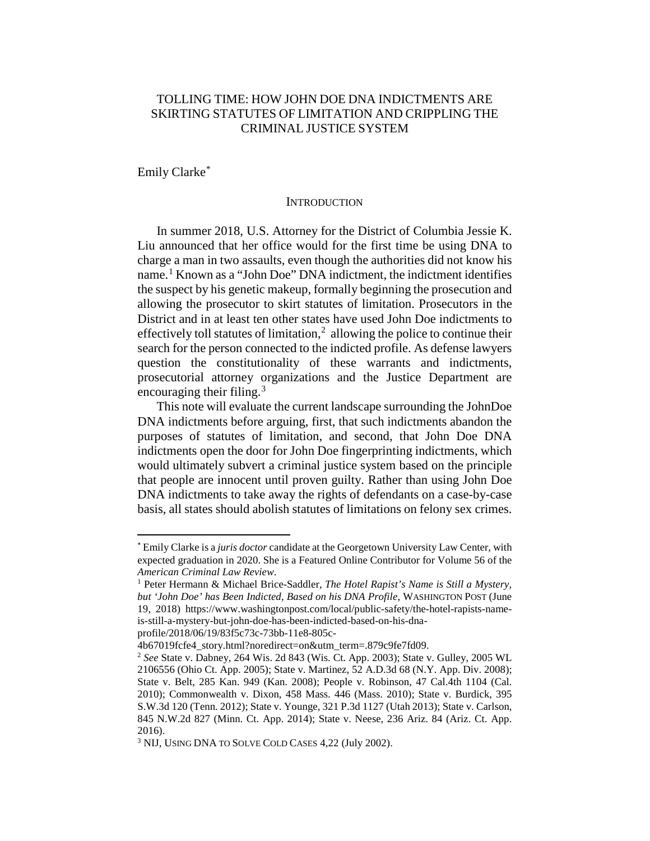# TOLLING TIME: HOW JOHN DOE DNA INDICTMENTS ARE SKIRTING STATUTES OF LIMITATION AND CRIPPLING THE CRIMINAL JUSTICE SYSTEM

Emily Clarke[\\*](#page-0-0)

#### **INTRODUCTION**

In summer 2018, U.S. Attorney for the District of Columbia Jessie K. Liu announced that her office would for the first time be using DNA to charge a man in two assaults, even though the authorities did not know his name.<sup>[1](#page-0-1)</sup> Known as a "John Doe" DNA indictment, the indictment identifies the suspect by his genetic makeup, formally beginning the prosecution and allowing the prosecutor to skirt statutes of limitation. Prosecutors in the District and in at least ten other states have used John Doe indictments to effectively toll statutes of limitation, $2$  allowing the police to continue their search for the person connected to the indicted profile. As defense lawyers question the constitutionality of these warrants and indictments, prosecutorial attorney organizations and the Justice Department are encouraging their filing. $3$ 

This note will evaluate the current landscape surrounding the JohnDoe DNA indictments before arguing, first, that such indictments abandon the purposes of statutes of limitation, and second, that John Doe DNA indictments open the door for John Doe fingerprinting indictments, which would ultimately subvert a criminal justice system based on the principle that people are innocent until proven guilty. Rather than using John Doe DNA indictments to take away the rights of defendants on a case-by-case basis, all states should abolish statutes of limitations on felony sex crimes.

profile/2018/06/19/83f5c73c-73bb-11e8-805c-

<span id="page-0-0"></span> <sup>\*</sup> Emily Clarke is a *juris doctor* candidate at the Georgetown University Law Center, with expected graduation in 2020. She is a Featured Online Contributor for Volume 56 of the *American Criminal Law Review*. 1 Peter Hermann & Michael Brice-Saddler, *The Hotel Rapist's Name is Still a Mystery,* 

<span id="page-0-1"></span>*but 'John Doe' has Been Indicted, Based on his DNA Profile*, WASHINGTON POST (June 19, 2018) https://www.washingtonpost.com/local/public-safety/the-hotel-rapists-nameis-still-a-mystery-but-john-doe-has-been-indicted-based-on-his-dna-

<sup>4</sup>b67019fcfe4\_story.html?noredirect=on&utm\_term=.879c9fe7fd09.

<span id="page-0-2"></span><sup>2</sup> *See* State v. Dabney, 264 Wis. 2d 843 (Wis. Ct. App. 2003); State v. Gulley, 2005 WL 2106556 (Ohio Ct. App. 2005); State v. Martinez, 52 A.D.3d 68 (N.Y. App. Div. 2008); State v. Belt, 285 Kan. 949 (Kan. 2008); People v. Robinson, 47 Cal.4th 1104 (Cal. 2010); Commonwealth v. Dixon, 458 Mass. 446 (Mass. 2010); State v. Burdick, 395 S.W.3d 120 (Tenn. 2012); State v. Younge, 321 P.3d 1127 (Utah 2013); State v. Carlson, 845 N.W.2d 827 (Minn. Ct. App. 2014); State v. Neese, 236 Ariz. 84 (Ariz. Ct. App. 2016).

<span id="page-0-3"></span><sup>3</sup> NIJ, USING DNA TO SOLVE COLD CASES 4,22 (July 2002).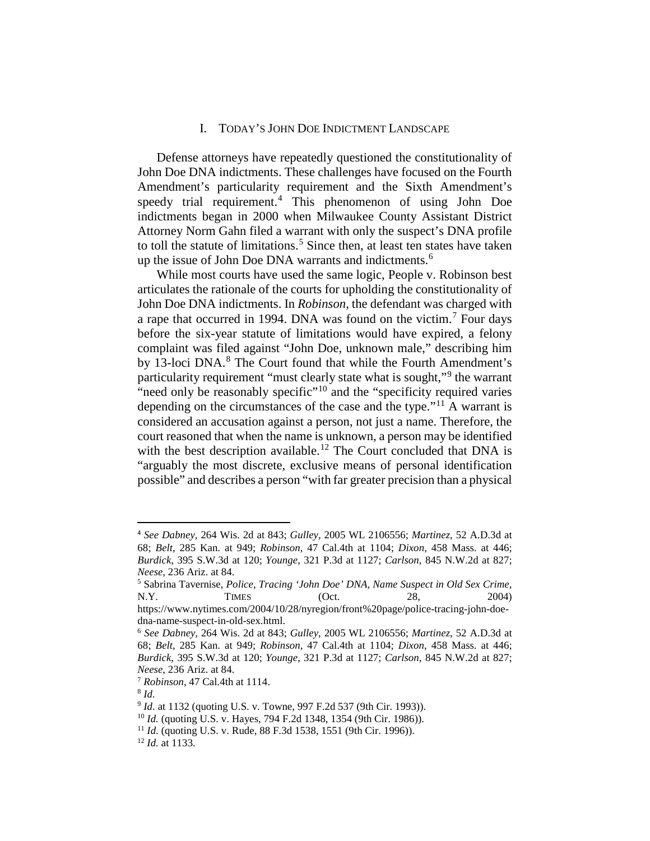## I. TODAY'S JOHN DOE INDICTMENT LANDSCAPE

Defense attorneys have repeatedly questioned the constitutionality of John Doe DNA indictments. These challenges have focused on the Fourth Amendment's particularity requirement and the Sixth Amendment's speedy trial requirement.[4](#page-1-0) This phenomenon of using John Doe indictments began in 2000 when Milwaukee County Assistant District Attorney Norm Gahn filed a warrant with only the suspect's DNA profile to toll the statute of limitations.<sup>[5](#page-1-1)</sup> Since then, at least ten states have taken up the issue of John Doe DNA warrants and indictments.<sup>[6](#page-1-2)</sup>

While most courts have used the same logic, People v. Robinson best articulates the rationale of the courts for upholding the constitutionality of John Doe DNA indictments. In *Robinson*, the defendant was charged with a rape that occurred in 1994. DNA was found on the victim.[7](#page-1-3) Four days before the six-year statute of limitations would have expired, a felony complaint was filed against "John Doe, unknown male," describing him by 13-loci DNA.<sup>[8](#page-1-4)</sup> The Court found that while the Fourth Amendment's particularity requirement "must clearly state what is sought,"<sup>[9](#page-1-5)</sup> the warrant "need only be reasonably specific"<sup>[10](#page-1-6)</sup> and the "specificity required varies" depending on the circumstances of the case and the type."<sup>[11](#page-1-7)</sup> A warrant is considered an accusation against a person, not just a name. Therefore, the court reasoned that when the name is unknown, a person may be identified with the best description available.<sup>[12](#page-1-8)</sup> The Court concluded that DNA is "arguably the most discrete, exclusive means of personal identification possible" and describes a person "with far greater precision than a physical

<span id="page-1-0"></span> <sup>4</sup> *See Dabney*, 264 Wis. 2d at 843; *Gulley*, 2005 WL 2106556; *Martinez*, 52 A.D.3d at 68; *Belt*, 285 Kan. at 949; *Robinson*, 47 Cal.4th at 1104; *Dixon*, 458 Mass. at 446; *Burdick*, 395 S.W.3d at 120; *Younge*, 321 P.3d at 1127; *Carlson*, 845 N.W.2d at 827; *Neese*, 236 Ariz. at 84.

<span id="page-1-1"></span><sup>5</sup> Sabrina Tavernise, *Police, Tracing 'John Doe' DNA, Name Suspect in Old Sex Crime*, N.Y. TIMES (Oct. 28, 2004)

https://www.nytimes.com/2004/10/28/nyregion/front%20page/police-tracing-john-doedna-name-suspect-in-old-sex.html.

<span id="page-1-2"></span><sup>6</sup> *See Dabney*, 264 Wis. 2d at 843; *Gulley*, 2005 WL 2106556; *Martinez*, 52 A.D.3d at 68; *Belt*, 285 Kan. at 949; *Robinson*, 47 Cal.4th at 1104; *Dixon*, 458 Mass. at 446; *Burdick*, 395 S.W.3d at 120; *Younge*, 321 P.3d at 1127; *Carlson*, 845 N.W.2d at 827; *Neese*, 236 Ariz. at 84.

<sup>7</sup> *Robinson*, 47 Cal.4th at 1114.

<span id="page-1-5"></span><span id="page-1-4"></span><span id="page-1-3"></span><sup>8</sup> *Id.*

<span id="page-1-6"></span><sup>&</sup>lt;sup>9</sup> *Id.* at 1132 (quoting U.S. v. Towne, 997 F.2d 537 (9th Cir. 1993)).

<sup>&</sup>lt;sup>10</sup> *Id.* (quoting U.S. v. Hayes, 794 F.2d 1348, 1354 (9th Cir. 1986)).

<span id="page-1-7"></span><sup>&</sup>lt;sup>11</sup> *Id.* (quoting U.S. v. Rude, 88 F.3d 1538, 1551 (9th Cir. 1996)). <sup>12</sup> *Id.* at 1133.

<span id="page-1-8"></span>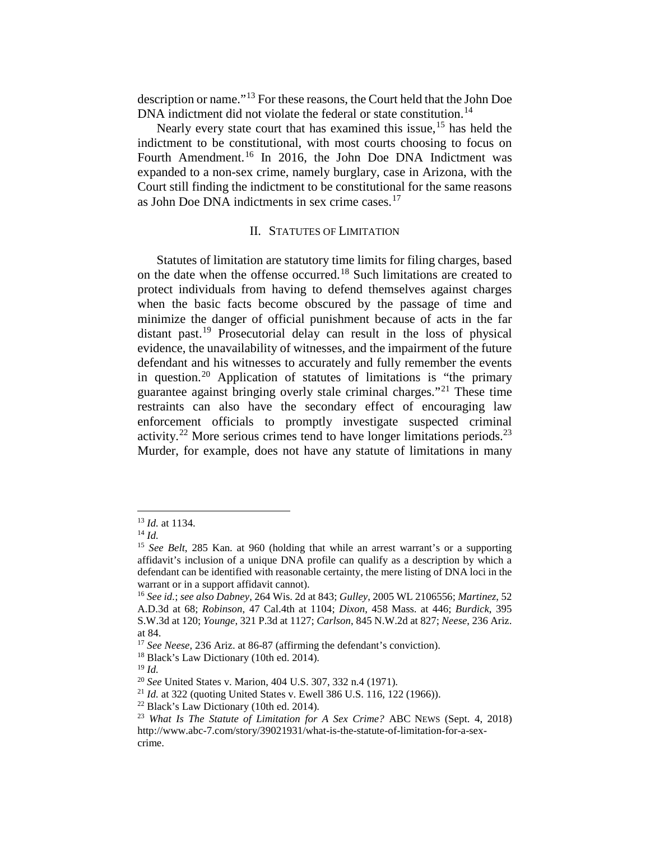description or name."[13](#page-2-0) For these reasons, the Court held that the John Doe DNA indictment did not violate the federal or state constitution.<sup>[14](#page-2-1)</sup>

Nearly every state court that has examined this issue,<sup>[15](#page-2-2)</sup> has held the indictment to be constitutional, with most courts choosing to focus on Fourth Amendment.<sup>[16](#page-2-3)</sup> In 2016, the John Doe DNA Indictment was expanded to a non-sex crime, namely burglary, case in Arizona, with the Court still finding the indictment to be constitutional for the same reasons as John Doe DNA indictments in sex crime cases. [17](#page-2-4)

## II. STATUTES OF LIMITATION

Statutes of limitation are statutory time limits for filing charges, based on the date when the offense occurred.[18](#page-2-5) Such limitations are created to protect individuals from having to defend themselves against charges when the basic facts become obscured by the passage of time and minimize the danger of official punishment because of acts in the far distant past.[19](#page-2-6) Prosecutorial delay can result in the loss of physical evidence, the unavailability of witnesses, and the impairment of the future defendant and his witnesses to accurately and fully remember the events in question.<sup>[20](#page-2-7)</sup> Application of statutes of limitations is "the primary guarantee against bringing overly stale criminal charges."[21](#page-2-8) These time restraints can also have the secondary effect of encouraging law enforcement officials to promptly investigate suspected criminal activity.<sup>[22](#page-2-9)</sup> More serious crimes tend to have longer limitations periods.<sup>[23](#page-2-10)</sup> Murder, for example, does not have any statute of limitations in many

<u>.</u>

<sup>13</sup> *Id.* at 1134.

<span id="page-2-2"></span><span id="page-2-1"></span><span id="page-2-0"></span><sup>14</sup> *Id.*

<sup>15</sup> *See Belt*, 285 Kan. at 960 (holding that while an arrest warrant's or a supporting affidavit's inclusion of a unique DNA profile can qualify as a description by which a defendant can be identified with reasonable certainty, the mere listing of DNA loci in the warrant or in a support affidavit cannot).

<span id="page-2-3"></span><sup>16</sup> *See id.*; *see also Dabney*, 264 Wis. 2d at 843; *Gulley*, 2005 WL 2106556; *Martinez*, 52 A.D.3d at 68; *Robinson*, 47 Cal.4th at 1104; *Dixon*, 458 Mass. at 446; *Burdick*, 395 S.W.3d at 120; *Younge*, 321 P.3d at 1127; *Carlson*, 845 N.W.2d at 827; *Neese*, 236 Ariz. at 84.

<span id="page-2-4"></span><sup>&</sup>lt;sup>17</sup> *See Neese*, 236 Ariz. at 86-87 (affirming the defendant's conviction). <sup>18</sup> Black's Law Dictionary (10th ed. 2014).

<span id="page-2-6"></span><span id="page-2-5"></span>

<sup>19</sup> *Id.*

<span id="page-2-7"></span><sup>20</sup> *See* United States v. Marion, 404 U.S. 307, 332 n.4 (1971).

<span id="page-2-8"></span><sup>&</sup>lt;sup>21</sup> *Id.* at 322 (quoting United States v. Ewell 386 U.S. 116, 122 (1966)).<br><sup>22</sup> Black's Law Dictionary (10th ed. 2014).

<span id="page-2-10"></span><span id="page-2-9"></span><sup>23</sup> *What Is The Statute of Limitation for A Sex Crime?* ABC NEWS (Sept. 4, 2018) http://www.abc-7.com/story/39021931/what-is-the-statute-of-limitation-for-a-sexcrime.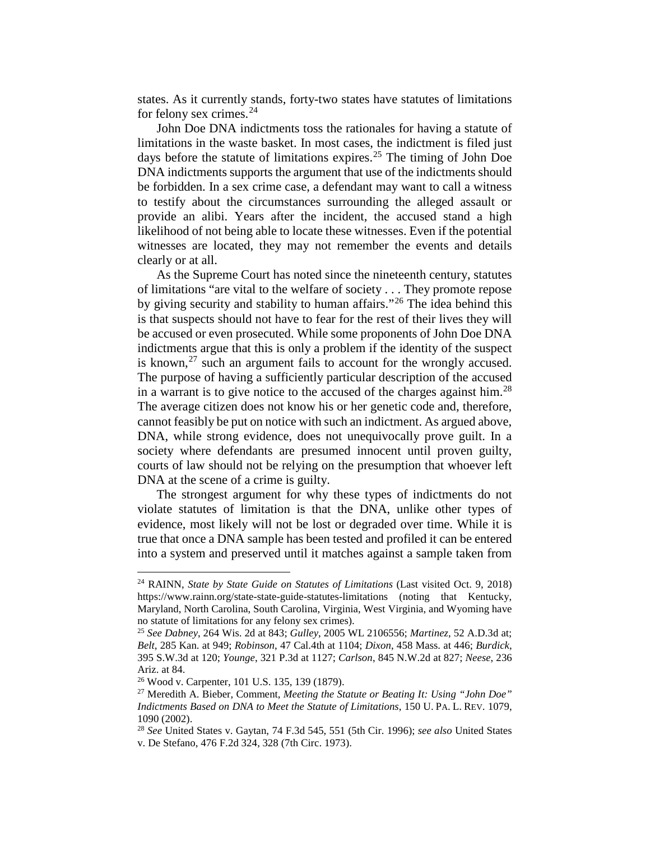states. As it currently stands, forty-two states have statutes of limitations for felony sex crimes. $24$ 

John Doe DNA indictments toss the rationales for having a statute of limitations in the waste basket. In most cases, the indictment is filed just days before the statute of limitations expires.<sup>[25](#page-3-1)</sup> The timing of John Doe DNA indictments supports the argument that use of the indictments should be forbidden. In a sex crime case, a defendant may want to call a witness to testify about the circumstances surrounding the alleged assault or provide an alibi. Years after the incident, the accused stand a high likelihood of not being able to locate these witnesses. Even if the potential witnesses are located, they may not remember the events and details clearly or at all.

As the Supreme Court has noted since the nineteenth century, statutes of limitations "are vital to the welfare of society . . . They promote repose by giving security and stability to human affairs."[26](#page-3-2) The idea behind this is that suspects should not have to fear for the rest of their lives they will be accused or even prosecuted. While some proponents of John Doe DNA indictments argue that this is only a problem if the identity of the suspect is known, $^{27}$  $^{27}$  $^{27}$  such an argument fails to account for the wrongly accused. The purpose of having a sufficiently particular description of the accused in a warrant is to give notice to the accused of the charges against him.<sup>[28](#page-3-4)</sup> The average citizen does not know his or her genetic code and, therefore, cannot feasibly be put on notice with such an indictment. As argued above, DNA, while strong evidence, does not unequivocally prove guilt. In a society where defendants are presumed innocent until proven guilty, courts of law should not be relying on the presumption that whoever left DNA at the scene of a crime is guilty.

The strongest argument for why these types of indictments do not violate statutes of limitation is that the DNA, unlike other types of evidence, most likely will not be lost or degraded over time. While it is true that once a DNA sample has been tested and profiled it can be entered into a system and preserved until it matches against a sample taken from

**.** 

<span id="page-3-0"></span><sup>24</sup> RAINN, *State by State Guide on Statutes of Limitations* (Last visited Oct. 9, 2018) https://www.rainn.org/state-state-guide-statutes-limitations (noting that Kentucky, Maryland, North Carolina, South Carolina, Virginia, West Virginia, and Wyoming have no statute of limitations for any felony sex crimes).

<span id="page-3-1"></span><sup>25</sup> *See Dabney*, 264 Wis. 2d at 843; *Gulley*, 2005 WL 2106556; *Martinez*, 52 A.D.3d at; *Belt*, 285 Kan. at 949; *Robinson*, 47 Cal.4th at 1104; *Dixon*, 458 Mass. at 446; *Burdick*, 395 S.W.3d at 120; *Younge*, 321 P.3d at 1127; *Carlson*, 845 N.W.2d at 827; *Neese*, 236 Ariz. at 84.

<span id="page-3-3"></span><span id="page-3-2"></span><sup>26</sup> Wood v. Carpenter, 101 U.S. 135, 139 (1879).

<sup>27</sup> Meredith A. Bieber, Comment, *Meeting the Statute or Beating It: Using "John Doe" Indictments Based on DNA to Meet the Statute of Limitations*, 150 U. PA. L. REV. 1079, 1090 (2002).

<span id="page-3-4"></span><sup>28</sup> *See* United States v. Gaytan, 74 F.3d 545, 551 (5th Cir. 1996); *see also* United States v. De Stefano, 476 F.2d 324, 328 (7th Circ. 1973).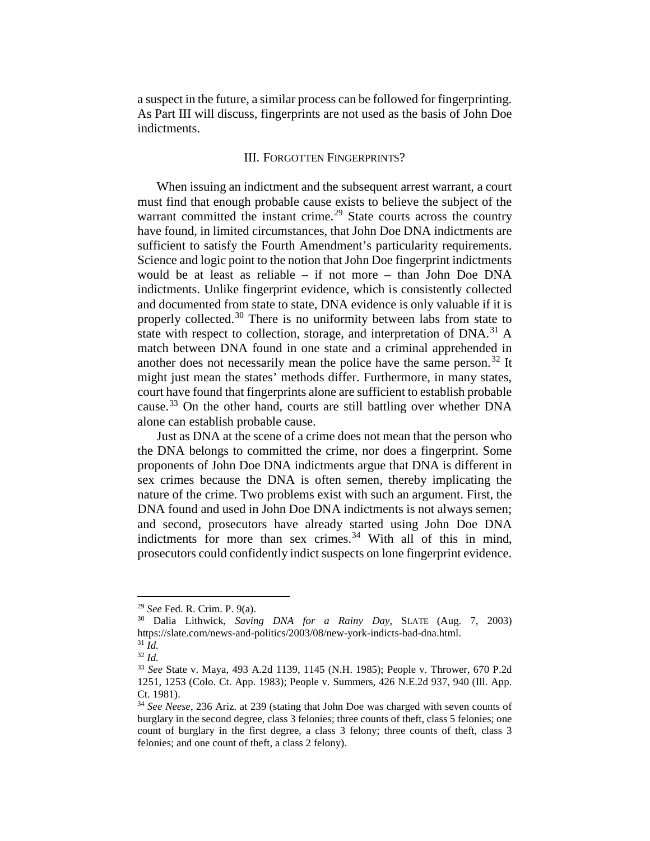a suspect in the future, a similar process can be followed for fingerprinting. As Part III will discuss, fingerprints are not used as the basis of John Doe indictments.

#### III. FORGOTTEN FINGERPRINTS?

When issuing an indictment and the subsequent arrest warrant, a court must find that enough probable cause exists to believe the subject of the warrant committed the instant crime.<sup>[29](#page-4-0)</sup> State courts across the country have found, in limited circumstances, that John Doe DNA indictments are sufficient to satisfy the Fourth Amendment's particularity requirements. Science and logic point to the notion that John Doe fingerprint indictments would be at least as reliable – if not more – than John Doe DNA indictments. Unlike fingerprint evidence, which is consistently collected and documented from state to state, DNA evidence is only valuable if it is properly collected.<sup>[30](#page-4-1)</sup> There is no uniformity between labs from state to state with respect to collection, storage, and interpretation of DNA.<sup>[31](#page-4-2)</sup> A match between DNA found in one state and a criminal apprehended in another does not necessarily mean the police have the same person.<sup>[32](#page-4-3)</sup> It might just mean the states' methods differ. Furthermore, in many states, court have found that fingerprints alone are sufficient to establish probable cause.<sup>[33](#page-4-4)</sup> On the other hand, courts are still battling over whether DNA alone can establish probable cause.

Just as DNA at the scene of a crime does not mean that the person who the DNA belongs to committed the crime, nor does a fingerprint. Some proponents of John Doe DNA indictments argue that DNA is different in sex crimes because the DNA is often semen, thereby implicating the nature of the crime. Two problems exist with such an argument. First, the DNA found and used in John Doe DNA indictments is not always semen; and second, prosecutors have already started using John Doe DNA indictments for more than sex crimes.<sup>[34](#page-4-5)</sup> With all of this in mind, prosecutors could confidently indict suspects on lone fingerprint evidence.

<u>.</u>

<span id="page-4-1"></span><span id="page-4-0"></span><sup>29</sup> *See* Fed. R. Crim. P. 9(a). 30 Dalia Lithwick, *Saving DNA for a Rainy Day*, SLATE (Aug. 7, 2003) https://slate.com/news-and-politics/2003/08/new-york-indicts-bad-dna.html. <sup>31</sup> *Id.*

<span id="page-4-3"></span><span id="page-4-2"></span><sup>32</sup> *Id.*

<span id="page-4-4"></span><sup>33</sup> *See* State v. Maya, 493 A.2d 1139, 1145 (N.H. 1985); People v. Thrower, 670 P.2d 1251, 1253 (Colo. Ct. App. 1983); People v. Summers, 426 N.E.2d 937, 940 (Ill. App. Ct. 1981).

<span id="page-4-5"></span><sup>34</sup> *See Neese*, 236 Ariz. at 239 (stating that John Doe was charged with seven counts of burglary in the second degree, class 3 felonies; three counts of theft, class 5 felonies; one count of burglary in the first degree, a class 3 felony; three counts of theft, class 3 felonies; and one count of theft, a class 2 felony).